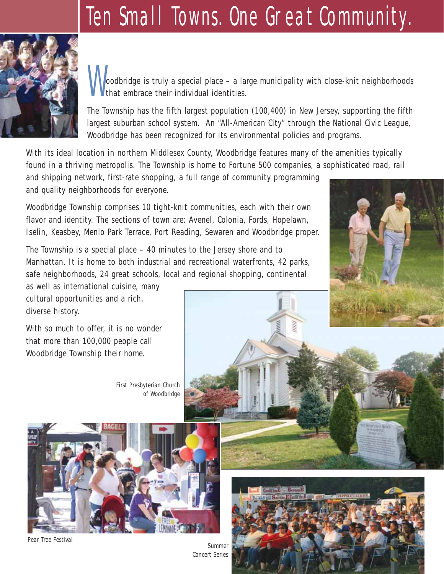# Ten Small Towns. One Great Community.



oodbridge is truly a special place – a large municipality with close-knit neighborhoods that embrace their individual identities.

The Township has the fifth largest population (100,400) in New Jersey, supporting the fifth largest suburban school system. An "All-American City" through the National Civic League, Woodbridge has been recognized for its environmental policies and programs.

With its ideal location in northern Middlesex County, Woodbridge features many of the amenities typically found in a thriving metropolis. The Township is home to Fortune 500 companies, a sophisticated road, rail

and shipping network, first-rate shopping, a full range of community programming and quality neighborhoods for everyone.

Woodbridge Township comprises 10 tight-knit communities, each with their own flavor and identity. The sections of town are: Avenel, Colonia, Fords, Hopelawn, Iselin, Keasbey, Menlo Park Terrace, Port Reading, Sewaren and Woodbridge proper.

The Township is a special place – 40 minutes to the Jersey shore and to Manhattan. It is home to both industrial and recreational waterfronts, 42 parks, safe neighborhoods, 24 great schools, local and regional shopping, continental

as well as international cuisine, many cultural opportunities and a rich, diverse history.

With so much to offer, it is no wonder that more than 100,000 people call Woodbridge Township their home.

> *First Presbyterian Church of Woodbridge*



*Pear Tree Festival*

*Summer Concert Series*



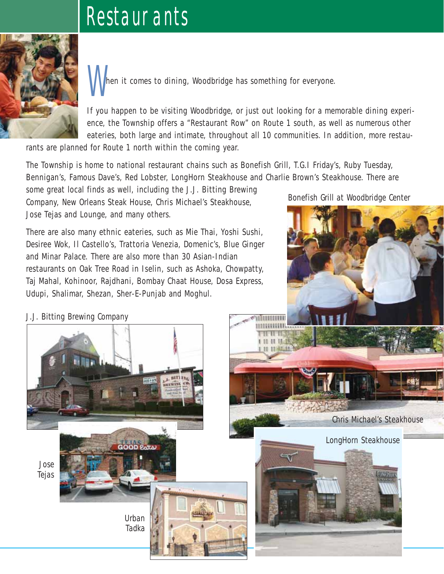# **RESTAURANTS**



hen it comes to dining, Woodbridge has something for everyone.

If you happen to be visiting Woodbridge, or just out looking for a memorable dining experience, the Township offers a "Restaurant Row" on Route 1 south, as well as numerous other eateries, both large and intimate, throughout all 10 communities. In addition, more restau-

rants are planned for Route 1 north within the coming year.

The Township is home to national restaurant chains such as Bonefish Grill, T.G.I Friday's, Ruby Tuesday, Bennigan's, Famous Dave's, Red Lobster, LongHorn Steakhouse and Charlie Brown's Steakhouse. There are

some great local finds as well, including the J.J. Bitting Brewing Company, New Orleans Steak House, Chris Michael's Steakhouse, Jose Tejas and Lounge, and many others.

There are also many ethnic eateries, such as Mie Thai, Yoshi Sushi, Desiree Wok, Il Castello's, Trattoria Venezia, Domenic's, Blue Ginger and Minar Palace. There are also more than 30 Asian-Indian restaurants on Oak Tree Road in Iselin, such as Ashoka, Chowpatty, Taj Mahal, Kohinoor, Rajdhani, Bombay Chaat House, Dosa Express, Udupi, Shalimar, Shezan, Sher-E-Punjab and Moghul.

*Bonefish Grill at Woodbridge Center*



*J.J. Bitting Brewing Company*

*Jose Tejas*

> *Urban Tadka*

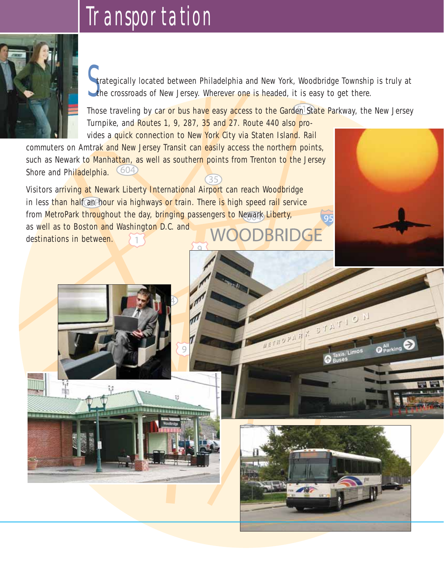#### Transportation



Strategically located between Philadelphia and New York, Woodbridge Township<br>The crossroads of New Jersey. Wherever one is headed, it is easy to get there. trategically located between Philadelphia and New York, Woodbridge Township is truly at

Those traveling by car or bus have easy access to the Garden State Parkway, the New Jersey Turnpike, and Routes 1, 9, 287, 35 and 27. Route 440 also provides a quick connection to New York City via Staten Island. Rail

commuters on Amtrak and New Jersey Transit can easily access the northern points, such as Newark to Manhattan, as well as southern points from Trenton to the Jersey Shore and Philadelphia.  $35$ 

Visitors arriving at Newark Liberty International Airport can reach Woodbridge in less than half an hour via highways or train. There is high speed rail service from MetroPark throughout the day, bringing passengers to Newark Liberty, as well as to Boston and Washington D.C. and BRIDGE destinations in between.



95

U.O. LATION

Taxis/Limos

O Parking

**CHOPAN**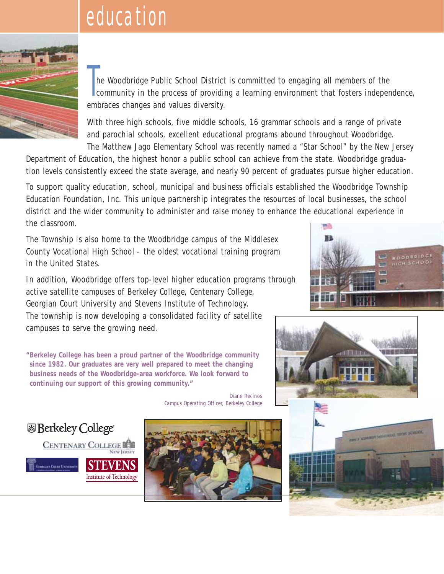# **EDUCATION**



The Woodbridge Public School District is committed to engaging all members of the<br>community in the process of providing a learning environment that fosters independence, he Woodbridge Public School District is committed to engaging all members of the embraces changes and values diversity.

With three high schools, five middle schools, 16 grammar schools and a range of private and parochial schools, excellent educational programs abound throughout Woodbridge. The Matthew Jago Elementary School was recently named a "Star School" by the New Jersey

Department of Education, the highest honor a public school can achieve from the state. Woodbridge graduation levels consistently exceed the state average, and nearly 90 percent of graduates pursue higher education.

To support quality education, school, municipal and business officials established the Woodbridge Township Education Foundation, Inc. This unique partnership integrates the resources of local businesses, the school district and the wider community to administer and raise money to enhance the educational experience in the classroom.

The Township is also home to the Woodbridge campus of the Middlesex County Vocational High School – the oldest vocational training program in the United States.

In addition, Woodbridge offers top-level higher education programs through active satellite campuses of Berkeley College, Centenary College, Georgian Court University and Stevens Institute of Technology. The township is now developing a consolidated facility of satellite campuses to serve the growing need.





**"Berkeley College has been a proud partner of the Woodbridge community since 1982. Our graduates are very well prepared to meet the changing business needs of the Woodbridge-area workforce. We look forward to continuing our support of this growing community."**

> Diane Recinos *Campus Operating Officer, Berkeley College*

图 Berkeley College® **CENTENARY COLLEGE** ENS **GEORGIAN COLNEL INTERNET** Institute of Technology

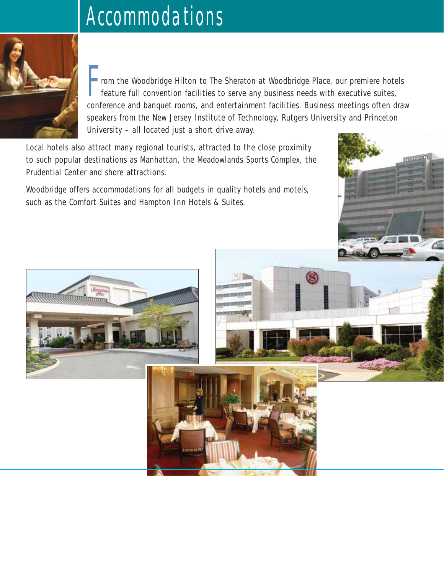# Accommodations



- rom the Woodbridge Hilton to The Sheraton at Woodbridge Place, our premiere hotels feature full convention facilities to serve any business needs with executive suites, conference and banquet rooms, and entertainment facilities. Business meetings often draw speakers from the New Jersey Institute of Technology, Rutgers University and Princeton University – all located just a short drive away.

Hillian Ch

Local hotels also attract many regional tourists, attracted to the close proximity to such popular destinations as Manhattan, the Meadowlands Sports Complex, the Prudential Center and shore attractions.

Woodbridge offers accommodations for all budgets in quality hotels and motels, such as the Comfort Suites and Hampton Inn Hotels & Suites.

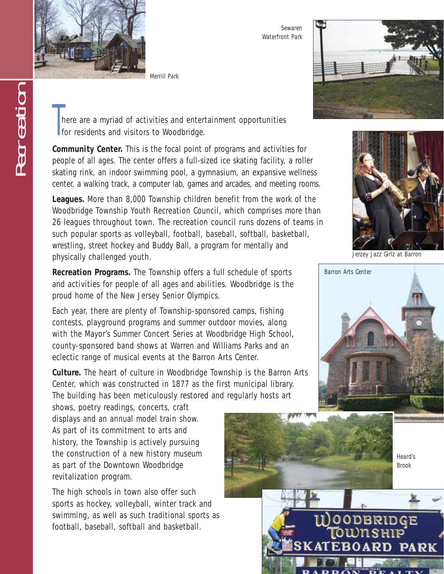

**RECREATION** 

*Merrill Park*

*Sewaren Waterfront Park*



There are a myriad of activities and enter<br>for residents and visitors to Woodbridge. here are a myriad of activities and entertainment opportunities

**Community Center.** This is the focal point of programs and activities for people of all ages. The center offers a full-sized ice skating facility, a roller skating rink, an indoor swimming pool, a gymnasium, an expansive wellness center, a walking track, a computer lab, games and arcades, and meeting rooms.

**Leagues.** More than 8,000 Township children benefit from the work of the Woodbridge Township Youth Recreation Council, which comprises more than 26 leagues throughout town. The recreation council runs dozens of teams in such popular sports as volleyball, football, baseball, softball, basketball, wrestling, street hockey and Buddy Ball, a program for mentally and physically challenged youth.

**Recreation Programs.** The Township offers a full schedule of sports and activities for people of all ages and abilities. Woodbridge is the proud home of the New Jersey Senior Olympics.

Each year, there are plenty of Township-sponsored camps, fishing contests, playground programs and summer outdoor movies, along with the Mayor's Summer Concert Series at Woodbridge High School, county-sponsored band shows at Warren and Williams Parks and an eclectic range of musical events at the Barron Arts Center.

**Culture.** The heart of culture in Woodbridge Township is the Barron Arts Center, which was constructed in 1877 as the first municipal library. The building has been meticulously restored and regularly hosts art

shows, poetry readings, concerts, craft displays and an annual model train show. As part of its commitment to arts and history, the Township is actively pursuing the construction of a new history museum as part of the Downtown Woodbridge revitalization program.

The high schools in town also offer such sports as hockey, volleyball, winter track and swimming, as well as such traditional sports as football, baseball, softball and basketball.



*Jerzey Jazz Girlz at Barron*



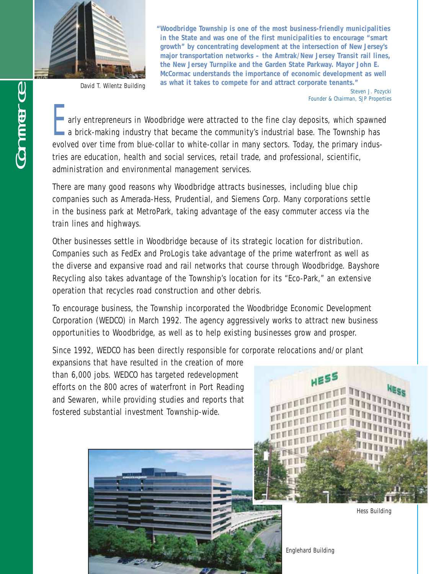

*David T. Wilentz Building*

**"Woodbridge Township is one of the most business-friendly municipalities in the State and was one of the first municipalities to encourage "smart growth" by concentrating development at the intersection of New Jersey's major transportation networks – the Amtrak/New Jersey Transit rail lines, the New Jersey Turnpike and the Garden State Parkway. Mayor John E. McCormac understands the importance of economic development as well as what it takes to compete for and attract corporate tenants."**

> Steven J. Pozycki *Founder & Chairman, SJP Properties*

**E** arly entrepreneurs in Woodbridge were attracted to the fine clay deposits, which spawned a brick-making industry that became the community's industrial base. The Township has evolved over time from blue-collar to white-collar in many sectors. Today, the primary industries are education, health and social services, retail trade, and professional, scientific, administration and environmental management services.

There are many good reasons why Woodbridge attracts businesses, including blue chip companies such as Amerada-Hess, Prudential, and Siemens Corp. Many corporations settle in the business park at MetroPark, taking advantage of the easy commuter access via the train lines and highways.

Other businesses settle in Woodbridge because of its strategic location for distribution. Companies such as FedEx and ProLogis take advantage of the prime waterfront as well as the diverse and expansive road and rail networks that course through Woodbridge. Bayshore Recycling also takes advantage of the Township's location for its "Eco-Park," an extensive operation that recycles road construction and other debris.

To encourage business, the Township incorporated the Woodbridge Economic Development Corporation (WEDCO) in March 1992. The agency aggressively works to attract new business opportunities to Woodbridge, as well as to help existing businesses grow and prosper.

Since 1992, WEDCO has been directly responsible for corporate relocations and/or plant

expansions that have resulted in the creation of more than 6,000 jobs. WEDCO has targeted redevelopment efforts on the 800 acres of waterfront in Port Reading and Sewaren, while providing studies and reports that fostered substantial investment Township-wide.



*Hess Building*

*Englehard Building*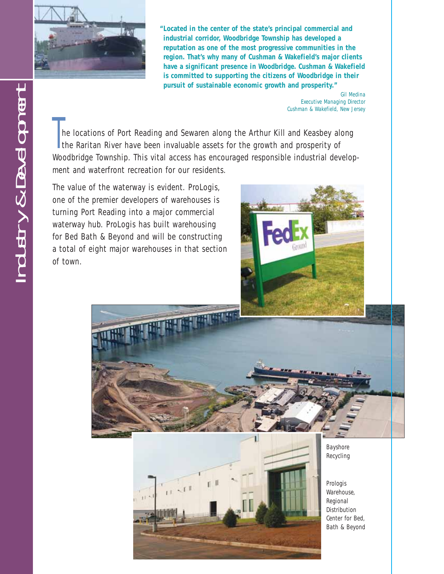

**"Located in the center of the state's principal commercial and industrial corridor, Woodbridge Township has developed a reputation as one of the most progressive communities in the region. That's why many of Cushman & Wakefield's major clients have a significant presence in Woodbridge. Cushman & Wakefield is committed to supporting the citizens of Woodbridge in their pursuit of sustainable economic growth and prosperity."**

> Gil Medina *Executive Managing Director Cushman & Wakefield, New Jersey*

T he locations of Port Reading and Sewaren along the Arthur Kill and Keasbey along the Raritan River have been invaluable assets for the growth and prosperity of Woodbridge Township. This vital access has encouraged responsible industrial development and waterfront recreation for our residents.

The value of the waterway is evident. ProLogis, one of the premier developers of warehouses is turning Port Reading into a major commercial waterway hub. ProLogis has built warehousing for Bed Bath & Beyond and will be constructing a total of eight major warehouses in that section of town.







*Bayshore Recycling*

*Prologis Warehouse, Regional Distribution Center for Bed, Bath & Beyond*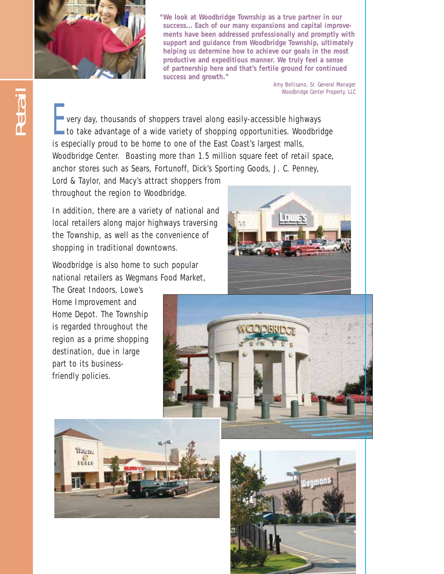

**"We look at Woodbridge Township as a true partner in our success... Each of our many expansions and capital improvements have been addressed professionally and promptly with support and guidance from Woodbridge Township, ultimately helping us determine how to achieve our goals in the most productive and expeditious manner. We truly feel a sense of partnership here and that's fertile ground for continued success and growth."**

> Amy Bellisano, *Sr. General Manager Woodbridge Center Property, LLC*

 $\blacksquare$  very day, thousands of shoppers travel along easily-accessible highways to take advantage of a wide variety of shopping opportunities. Woodbridge is especially proud to be home to one of the East Coast's largest malls, Woodbridge Center. Boasting more than 1.5 million square feet of retail space, anchor stores such as Sears, Fortunoff, Dick's Sporting Goods, J. C. Penney,

Lord & Taylor, and Macy's attract shoppers from throughout the region to Woodbridge.

In addition, there are a variety of national and local retailers along major highways traversing the Township, as well as the convenience of shopping in traditional downtowns.

Woodbridge is also home to such popular national retailers as Wegmans Food Market,

The Great Indoors, Lowe's Home Improvement and Home Depot. The Township is regarded throughout the region as a prime shopping destination, due in large part to its businessfriendly policies.